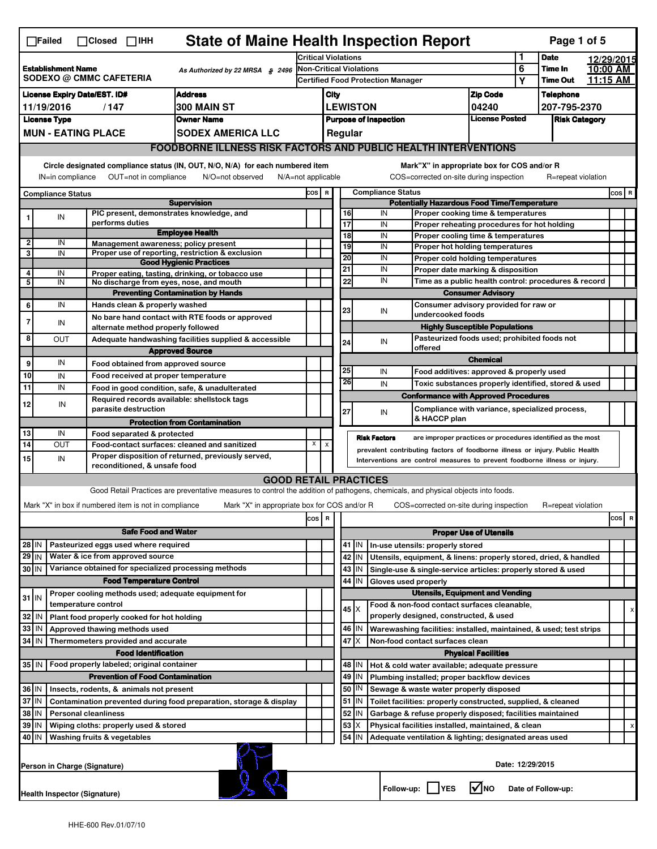|                                                                                                                                                                                                                                                                                           | <b>State of Maine Health Inspection Report</b><br>Page 1 of 5<br>$\Box$ Failed<br>$\Box$ Closed $\Box$ IHH                                                             |  |                                          |                                                       |                                                                                                                                   |                 |                                         |                                                                            |                          |                                |            |                                                                                   |                            |  |                    |  |       |
|-------------------------------------------------------------------------------------------------------------------------------------------------------------------------------------------------------------------------------------------------------------------------------------------|------------------------------------------------------------------------------------------------------------------------------------------------------------------------|--|------------------------------------------|-------------------------------------------------------|-----------------------------------------------------------------------------------------------------------------------------------|-----------------|-----------------------------------------|----------------------------------------------------------------------------|--------------------------|--------------------------------|------------|-----------------------------------------------------------------------------------|----------------------------|--|--------------------|--|-------|
|                                                                                                                                                                                                                                                                                           |                                                                                                                                                                        |  | <b>Critical Violations</b>               |                                                       |                                                                                                                                   |                 | 1                                       | <b>Date</b>                                                                |                          | 12/29/2015                     |            |                                                                                   |                            |  |                    |  |       |
| <b>Establishment Name</b><br>SODEXO @ CMMC CAFETERIA                                                                                                                                                                                                                                      |                                                                                                                                                                        |  | As Authorized by 22 MRSA § 2496          | <b>Non-Critical Violations</b>                        |                                                                                                                                   |                 |                                         |                                                                            |                          | 6                              | Time In    |                                                                                   | 10:00 AM                   |  |                    |  |       |
|                                                                                                                                                                                                                                                                                           |                                                                                                                                                                        |  | <b>Certified Food Protection Manager</b> |                                                       |                                                                                                                                   |                 |                                         |                                                                            | Υ                        | <b>Time Out</b>                |            | 11:15 AM                                                                          |                            |  |                    |  |       |
| <b>Address</b><br><b>License Expiry Date/EST. ID#</b>                                                                                                                                                                                                                                     |                                                                                                                                                                        |  |                                          | City                                                  |                                                                                                                                   |                 |                                         |                                                                            |                          | <b>Zip Code</b>                |            | <b>Telephone</b>                                                                  |                            |  |                    |  |       |
| 300 MAIN ST<br>11/19/2016<br>/147<br><b>License Type</b><br><b>Owner Name</b>                                                                                                                                                                                                             |                                                                                                                                                                        |  |                                          |                                                       |                                                                                                                                   | <b>LEWISTON</b> |                                         |                                                                            |                          | 04240<br><b>License Posted</b> |            | 207-795-2370<br><b>Risk Category</b>                                              |                            |  |                    |  |       |
|                                                                                                                                                                                                                                                                                           | <b>MUN - EATING PLACE</b>                                                                                                                                              |  |                                          |                                                       | <b>SODEX AMERICA LLC</b>                                                                                                          |                 | <b>Purpose of Inspection</b><br>Regular |                                                                            |                          |                                |            |                                                                                   |                            |  |                    |  |       |
|                                                                                                                                                                                                                                                                                           |                                                                                                                                                                        |  |                                          |                                                       |                                                                                                                                   |                 |                                         |                                                                            |                          |                                |            |                                                                                   |                            |  |                    |  |       |
|                                                                                                                                                                                                                                                                                           | FOODBORNE ILLNESS RISK FACTORS AND PUBLIC HEALTH INTERVENTIONS                                                                                                         |  |                                          |                                                       |                                                                                                                                   |                 |                                         |                                                                            |                          |                                |            |                                                                                   |                            |  |                    |  |       |
| Circle designated compliance status (IN, OUT, N/O, N/A) for each numbered item<br>Mark"X" in appropriate box for COS and/or R<br>OUT=not in compliance<br>COS=corrected on-site during inspection<br>IN=in compliance<br>N/O=not observed<br>$N/A = not$ applicable<br>R=repeat violation |                                                                                                                                                                        |  |                                          |                                                       |                                                                                                                                   |                 |                                         |                                                                            |                          |                                |            |                                                                                   |                            |  |                    |  |       |
| <b>Compliance Status</b>                                                                                                                                                                                                                                                                  |                                                                                                                                                                        |  |                                          | COS R                                                 |                                                                                                                                   |                 |                                         |                                                                            | <b>Compliance Status</b> |                                |            |                                                                                   |                            |  | COS R              |  |       |
|                                                                                                                                                                                                                                                                                           |                                                                                                                                                                        |  |                                          |                                                       | <b>Supervision</b><br>PIC present, demonstrates knowledge, and                                                                    |                 |                                         |                                                                            | 16                       |                                | IN         | <b>Potentially Hazardous Food Time/Temperature</b>                                |                            |  |                    |  |       |
|                                                                                                                                                                                                                                                                                           | IN                                                                                                                                                                     |  | performs duties                          |                                                       |                                                                                                                                   |                 |                                         |                                                                            | 17                       |                                | IN         | Proper cooking time & temperatures<br>Proper reheating procedures for hot holding |                            |  |                    |  |       |
|                                                                                                                                                                                                                                                                                           |                                                                                                                                                                        |  |                                          |                                                       | <b>Employee Health</b>                                                                                                            |                 |                                         |                                                                            | 18                       |                                | IN         | Proper cooling time & temperatures                                                |                            |  |                    |  |       |
| 2<br>3                                                                                                                                                                                                                                                                                    | IN<br>IN                                                                                                                                                               |  |                                          |                                                       | Management awareness; policy present<br>Proper use of reporting, restriction & exclusion                                          |                 |                                         |                                                                            | 19                       |                                | IN         | Proper hot holding temperatures                                                   |                            |  |                    |  |       |
|                                                                                                                                                                                                                                                                                           |                                                                                                                                                                        |  |                                          |                                                       | <b>Good Hygienic Practices</b>                                                                                                    |                 |                                         |                                                                            | 20                       |                                | IN         | Proper cold holding temperatures                                                  |                            |  |                    |  |       |
| 4                                                                                                                                                                                                                                                                                         | IN                                                                                                                                                                     |  |                                          |                                                       | Proper eating, tasting, drinking, or tobacco use                                                                                  |                 |                                         |                                                                            | 21                       |                                | IN<br>IN   | Proper date marking & disposition                                                 |                            |  |                    |  |       |
| 5                                                                                                                                                                                                                                                                                         | IN                                                                                                                                                                     |  |                                          |                                                       | No discharge from eyes, nose, and mouth<br><b>Preventing Contamination by Hands</b>                                               |                 |                                         |                                                                            | 22                       |                                |            | Time as a public health control: procedures & record                              | <b>Consumer Advisory</b>   |  |                    |  |       |
| 6                                                                                                                                                                                                                                                                                         | IN                                                                                                                                                                     |  |                                          | Hands clean & properly washed                         |                                                                                                                                   |                 |                                         |                                                                            |                          |                                |            | Consumer advisory provided for raw or                                             |                            |  |                    |  |       |
|                                                                                                                                                                                                                                                                                           |                                                                                                                                                                        |  |                                          |                                                       | No bare hand contact with RTE foods or approved                                                                                   |                 |                                         |                                                                            | 23                       |                                | IN         | undercooked foods                                                                 |                            |  |                    |  |       |
| 7                                                                                                                                                                                                                                                                                         | IN                                                                                                                                                                     |  |                                          | alternate method properly followed                    |                                                                                                                                   |                 |                                         |                                                                            |                          |                                |            | <b>Highly Susceptible Populations</b>                                             |                            |  |                    |  |       |
| 8                                                                                                                                                                                                                                                                                         | OUT                                                                                                                                                                    |  |                                          |                                                       | Adequate handwashing facilities supplied & accessible                                                                             |                 |                                         |                                                                            | 24                       |                                | IN         | Pasteurized foods used; prohibited foods not                                      |                            |  |                    |  |       |
|                                                                                                                                                                                                                                                                                           |                                                                                                                                                                        |  |                                          |                                                       | <b>Approved Source</b>                                                                                                            |                 |                                         |                                                                            |                          |                                |            | offered                                                                           | <b>Chemical</b>            |  |                    |  |       |
| 9                                                                                                                                                                                                                                                                                         | IN                                                                                                                                                                     |  |                                          |                                                       | Food obtained from approved source                                                                                                |                 |                                         |                                                                            | 25                       |                                | IN         | Food additives: approved & properly used                                          |                            |  |                    |  |       |
| 10                                                                                                                                                                                                                                                                                        | IN                                                                                                                                                                     |  |                                          |                                                       | Food received at proper temperature                                                                                               |                 |                                         |                                                                            | 26                       |                                | IN         | Toxic substances properly identified, stored & used                               |                            |  |                    |  |       |
| 11                                                                                                                                                                                                                                                                                        | IN                                                                                                                                                                     |  |                                          |                                                       | Food in good condition, safe, & unadulterated<br>Required records available: shellstock tags                                      |                 |                                         |                                                                            |                          |                                |            | <b>Conformance with Approved Procedures</b>                                       |                            |  |                    |  |       |
| 12                                                                                                                                                                                                                                                                                        | IN                                                                                                                                                                     |  |                                          | parasite destruction                                  |                                                                                                                                   |                 |                                         |                                                                            | 27                       |                                | IN         | Compliance with variance, specialized process,                                    |                            |  |                    |  |       |
|                                                                                                                                                                                                                                                                                           |                                                                                                                                                                        |  |                                          |                                                       | <b>Protection from Contamination</b>                                                                                              |                 |                                         |                                                                            |                          |                                |            | & HACCP plan                                                                      |                            |  |                    |  |       |
| 13                                                                                                                                                                                                                                                                                        | IN                                                                                                                                                                     |  |                                          | Food separated & protected                            |                                                                                                                                   |                 |                                         |                                                                            |                          | <b>Risk Factors</b>            |            | are improper practices or procedures identified as the most                       |                            |  |                    |  |       |
| $\overline{14}$                                                                                                                                                                                                                                                                           | X<br>$\pmb{\times}$<br>OUT<br>Food-contact surfaces: cleaned and sanitized<br>prevalent contributing factors of foodborne illness or injury. Public Health             |  |                                          |                                                       |                                                                                                                                   |                 |                                         |                                                                            |                          |                                |            |                                                                                   |                            |  |                    |  |       |
| 15                                                                                                                                                                                                                                                                                        | Proper disposition of returned, previously served,<br>IN<br>Interventions are control measures to prevent foodborne illness or injury.<br>reconditioned, & unsafe food |  |                                          |                                                       |                                                                                                                                   |                 |                                         |                                                                            |                          |                                |            |                                                                                   |                            |  |                    |  |       |
|                                                                                                                                                                                                                                                                                           |                                                                                                                                                                        |  |                                          |                                                       | <b>GOOD RETAIL PRACTICES</b>                                                                                                      |                 |                                         |                                                                            |                          |                                |            |                                                                                   |                            |  |                    |  |       |
|                                                                                                                                                                                                                                                                                           |                                                                                                                                                                        |  |                                          |                                                       | Good Retail Practices are preventative measures to control the addition of pathogens, chemicals, and physical objects into foods. |                 |                                         |                                                                            |                          |                                |            |                                                                                   |                            |  |                    |  |       |
|                                                                                                                                                                                                                                                                                           |                                                                                                                                                                        |  |                                          | Mark "X" in box if numbered item is not in compliance | Mark "X" in appropriate box for COS and/or R                                                                                      |                 |                                         |                                                                            |                          |                                |            | COS=corrected on-site during inspection                                           |                            |  | R=repeat violation |  |       |
|                                                                                                                                                                                                                                                                                           |                                                                                                                                                                        |  |                                          |                                                       |                                                                                                                                   | cos             | R                                       |                                                                            |                          |                                |            |                                                                                   |                            |  |                    |  | cos R |
|                                                                                                                                                                                                                                                                                           |                                                                                                                                                                        |  |                                          | <b>Safe Food and Water</b>                            |                                                                                                                                   |                 |                                         | <b>Proper Use of Utensils</b>                                              |                          |                                |            |                                                                                   |                            |  |                    |  |       |
| 28 IN                                                                                                                                                                                                                                                                                     |                                                                                                                                                                        |  |                                          | Pasteurized eggs used where required                  |                                                                                                                                   |                 |                                         |                                                                            | $41$ M                   |                                |            | In-use utensils: properly stored                                                  |                            |  |                    |  |       |
| 29 IN                                                                                                                                                                                                                                                                                     |                                                                                                                                                                        |  |                                          | Water & ice from approved source                      |                                                                                                                                   |                 |                                         |                                                                            | 42<br>IN                 |                                |            | Utensils, equipment, & linens: properly stored, dried, & handled                  |                            |  |                    |  |       |
| 30 IN                                                                                                                                                                                                                                                                                     |                                                                                                                                                                        |  |                                          |                                                       | Variance obtained for specialized processing methods                                                                              |                 |                                         |                                                                            | 43<br>IN                 |                                |            | Single-use & single-service articles: properly stored & used                      |                            |  |                    |  |       |
|                                                                                                                                                                                                                                                                                           |                                                                                                                                                                        |  |                                          | <b>Food Temperature Control</b>                       |                                                                                                                                   |                 |                                         | 44<br>IN<br>Gloves used properly<br><b>Utensils, Equipment and Vending</b> |                          |                                |            |                                                                                   |                            |  |                    |  |       |
| $31$ IN                                                                                                                                                                                                                                                                                   |                                                                                                                                                                        |  | temperature control                      |                                                       | Proper cooling methods used; adequate equipment for                                                                               |                 |                                         |                                                                            |                          |                                |            | Food & non-food contact surfaces cleanable,                                       |                            |  |                    |  |       |
| 32                                                                                                                                                                                                                                                                                        | IN                                                                                                                                                                     |  |                                          | Plant food properly cooked for hot holding            |                                                                                                                                   |                 |                                         |                                                                            | $45 \times$              |                                |            | properly designed, constructed, & used                                            |                            |  |                    |  | х     |
| 33                                                                                                                                                                                                                                                                                        | IN                                                                                                                                                                     |  |                                          | Approved thawing methods used                         |                                                                                                                                   |                 |                                         |                                                                            | 46   IN                  |                                |            | Warewashing facilities: installed, maintained, & used; test strips                |                            |  |                    |  |       |
| 34                                                                                                                                                                                                                                                                                        | l IN                                                                                                                                                                   |  |                                          | Thermometers provided and accurate                    |                                                                                                                                   |                 |                                         |                                                                            | 47 X                     |                                |            | Non-food contact surfaces clean                                                   |                            |  |                    |  |       |
|                                                                                                                                                                                                                                                                                           |                                                                                                                                                                        |  |                                          | <b>Food Identification</b>                            |                                                                                                                                   |                 |                                         |                                                                            |                          |                                |            |                                                                                   | <b>Physical Facilities</b> |  |                    |  |       |
| 35   IN                                                                                                                                                                                                                                                                                   |                                                                                                                                                                        |  |                                          | Food properly labeled; original container             |                                                                                                                                   |                 |                                         |                                                                            | 48   IN                  |                                |            | Hot & cold water available; adequate pressure                                     |                            |  |                    |  |       |
|                                                                                                                                                                                                                                                                                           |                                                                                                                                                                        |  |                                          | <b>Prevention of Food Contamination</b>               |                                                                                                                                   |                 |                                         |                                                                            | 49<br>IN                 |                                |            | Plumbing installed; proper backflow devices                                       |                            |  |                    |  |       |
|                                                                                                                                                                                                                                                                                           | 36 IN<br>Insects, rodents, & animals not present                                                                                                                       |  |                                          |                                                       |                                                                                                                                   |                 |                                         |                                                                            | 50<br>IN                 |                                |            | Sewage & waste water properly disposed                                            |                            |  |                    |  |       |
|                                                                                                                                                                                                                                                                                           | 37 IN<br>Contamination prevented during food preparation, storage & display                                                                                            |  |                                          |                                                       |                                                                                                                                   |                 |                                         |                                                                            | $51$ M                   |                                |            | Toilet facilities: properly constructed, supplied, & cleaned                      |                            |  |                    |  |       |
|                                                                                                                                                                                                                                                                                           | 38 IN<br><b>Personal cleanliness</b><br>39 IN<br>Wiping cloths: properly used & stored                                                                                 |  |                                          |                                                       |                                                                                                                                   |                 |                                         |                                                                            | 52<br>IN<br>53           |                                |            | Garbage & refuse properly disposed; facilities maintained                         |                            |  |                    |  |       |
| 40 IN                                                                                                                                                                                                                                                                                     |                                                                                                                                                                        |  |                                          |                                                       |                                                                                                                                   |                 |                                         |                                                                            | X<br>54<br>IN            |                                |            | Physical facilities installed, maintained, & clean                                |                            |  |                    |  | X     |
|                                                                                                                                                                                                                                                                                           | Washing fruits & vegetables<br>Adequate ventilation & lighting; designated areas used                                                                                  |  |                                          |                                                       |                                                                                                                                   |                 |                                         |                                                                            |                          |                                |            |                                                                                   |                            |  |                    |  |       |
|                                                                                                                                                                                                                                                                                           | Date: 12/29/2015<br>Person in Charge (Signature)                                                                                                                       |  |                                          |                                                       |                                                                                                                                   |                 |                                         |                                                                            |                          |                                |            |                                                                                   |                            |  |                    |  |       |
|                                                                                                                                                                                                                                                                                           |                                                                                                                                                                        |  |                                          |                                                       |                                                                                                                                   |                 |                                         |                                                                            |                          |                                | Follow-up: | <b>IYES</b>                                                                       | l√Ino                      |  | Date of Follow-up: |  |       |
|                                                                                                                                                                                                                                                                                           | Health Inspector (Signature)                                                                                                                                           |  |                                          |                                                       |                                                                                                                                   |                 |                                         |                                                                            |                          |                                |            |                                                                                   |                            |  |                    |  |       |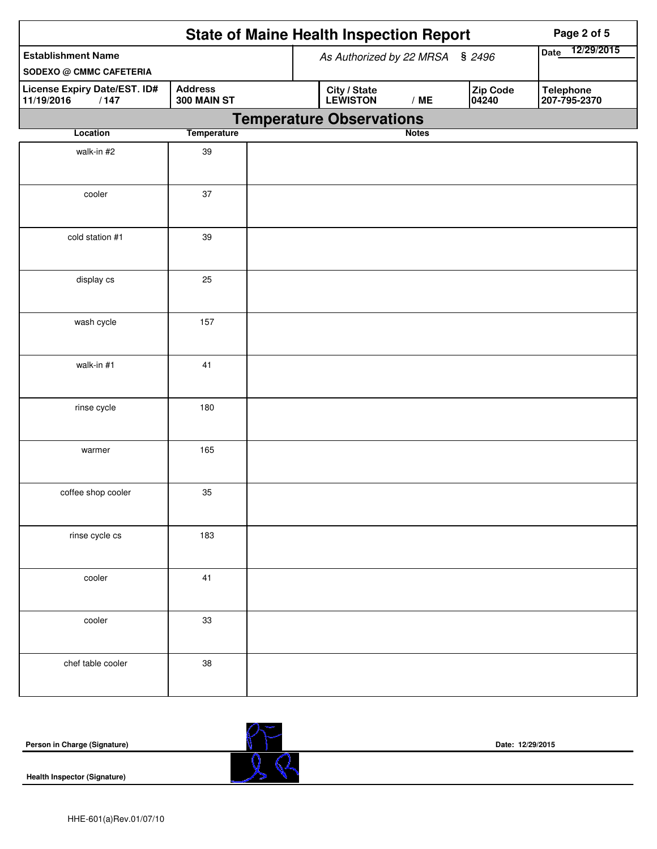|                                                             |                               | <b>State of Maine Health Inspection Report</b>       | Page 2 of 5               |
|-------------------------------------------------------------|-------------------------------|------------------------------------------------------|---------------------------|
| <b>Establishment Name</b><br><b>SODEXO @ CMMC CAFETERIA</b> |                               | As Authorized by 22 MRSA § 2496                      | 12/29/2015<br><b>Date</b> |
| License Expiry Date/EST. ID#<br>11/19/2016<br>/147          | <b>Address</b><br>300 MAIN ST | Zip Code<br>City / State<br>LEWISTON<br>/ME<br>04240 | Telephone<br>207-795-2370 |
| Location                                                    |                               | <b>Temperature Observations</b><br><b>Notes</b>      |                           |
|                                                             | <b>Temperature</b>            |                                                      |                           |
| walk-in #2                                                  | 39                            |                                                      |                           |
| cooler                                                      | 37                            |                                                      |                           |
| cold station #1                                             | 39                            |                                                      |                           |
| display cs                                                  | 25                            |                                                      |                           |
| wash cycle                                                  | 157                           |                                                      |                           |
| walk-in #1                                                  | 41                            |                                                      |                           |
| rinse cycle                                                 | 180                           |                                                      |                           |
| warmer                                                      | 165                           |                                                      |                           |
| coffee shop cooler                                          | 35                            |                                                      |                           |
| rinse cycle cs                                              | 183                           |                                                      |                           |
| cooler                                                      | 41                            |                                                      |                           |
| cooler                                                      | 33                            |                                                      |                           |
| chef table cooler                                           | $38\,$                        |                                                      |                           |

| Person in Charge (Signature)        | R.<br>M | Date: 12/29/2015 |
|-------------------------------------|---------|------------------|
| <b>Health Inspector (Signature)</b> |         |                  |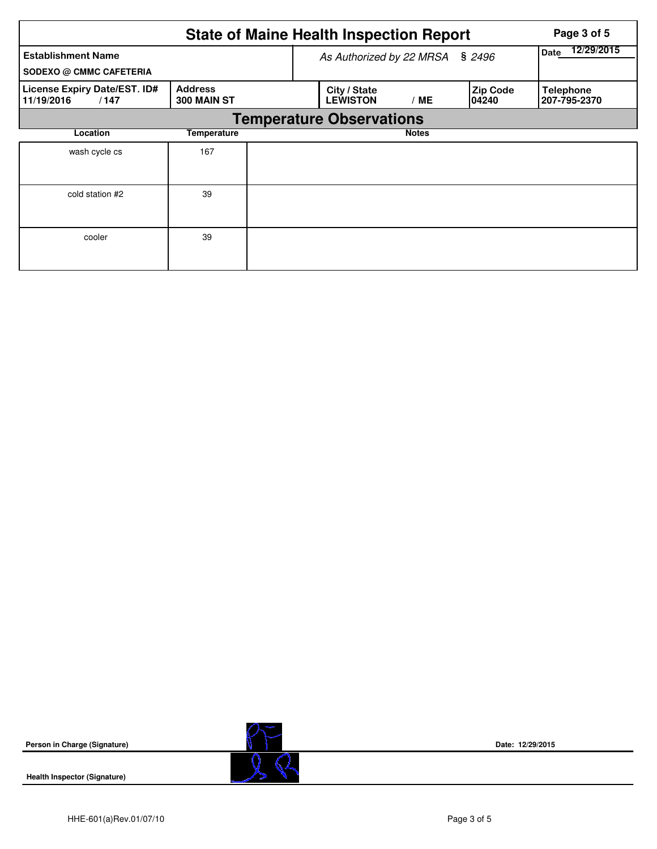|                                                             | Page 3 of 5                   |                                 |                           |                          |                                  |
|-------------------------------------------------------------|-------------------------------|---------------------------------|---------------------------|--------------------------|----------------------------------|
| <b>Establishment Name</b><br><b>SODEXO @ CMMC CAFETERIA</b> |                               | As Authorized by 22 MRSA        | 12/29/2015<br><b>Date</b> |                          |                                  |
| License Expiry Date/EST. ID#<br>11/19/2016<br>/147          | <b>Address</b><br>300 MAIN ST | City / State<br><b>LEWISTON</b> | / ME                      | <b>Zip Code</b><br>04240 | <b>Telephone</b><br>207-795-2370 |
|                                                             |                               | <b>Temperature Observations</b> |                           |                          |                                  |
| Location                                                    | Temperature                   |                                 | <b>Notes</b>              |                          |                                  |
| wash cycle cs                                               | 167                           |                                 |                           |                          |                                  |
| cold station #2                                             | 39                            |                                 |                           |                          |                                  |
| cooler                                                      | 39                            |                                 |                           |                          |                                  |



**Health Inspector (Signature)** 



**Date: 12/29/2015**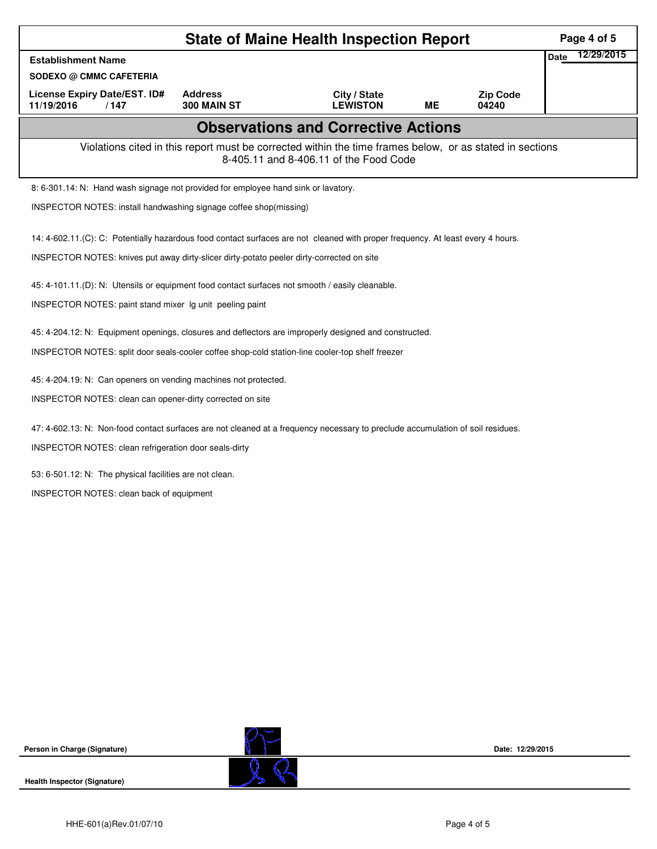| <b>State of Maine Health Inspection Report</b>                                                                                  |                               |                                                                                                                                                    |           |                          |                    |  |  |  |  |
|---------------------------------------------------------------------------------------------------------------------------------|-------------------------------|----------------------------------------------------------------------------------------------------------------------------------------------------|-----------|--------------------------|--------------------|--|--|--|--|
| <b>Establishment Name</b>                                                                                                       |                               |                                                                                                                                                    |           |                          | 12/29/2015<br>Date |  |  |  |  |
| <b>SODEXO @ CMMC CAFETERIA</b>                                                                                                  |                               |                                                                                                                                                    |           |                          |                    |  |  |  |  |
| License Expiry Date/EST. ID#<br>11/19/2016<br>/147                                                                              | <b>Address</b><br>300 MAIN ST | City / State<br><b>LEWISTON</b>                                                                                                                    | <b>ME</b> | <b>Zip Code</b><br>04240 |                    |  |  |  |  |
|                                                                                                                                 |                               | <b>Observations and Corrective Actions</b>                                                                                                         |           |                          |                    |  |  |  |  |
|                                                                                                                                 |                               | Violations cited in this report must be corrected within the time frames below, or as stated in sections<br>8-405.11 and 8-406.11 of the Food Code |           |                          |                    |  |  |  |  |
| 8: 6-301.14: N: Hand wash signage not provided for employee hand sink or lavatory.                                              |                               |                                                                                                                                                    |           |                          |                    |  |  |  |  |
| INSPECTOR NOTES: install handwashing signage coffee shop(missing)                                                               |                               |                                                                                                                                                    |           |                          |                    |  |  |  |  |
| 14: 4-602.11.(C): C: Potentially hazardous food contact surfaces are not cleaned with proper frequency. At least every 4 hours. |                               |                                                                                                                                                    |           |                          |                    |  |  |  |  |
| INSPECTOR NOTES: knives put away dirty-slicer dirty-potato peeler dirty-corrected on site                                       |                               |                                                                                                                                                    |           |                          |                    |  |  |  |  |
| 45: 4-101.11.(D): N: Utensils or equipment food contact surfaces not smooth / easily cleanable.                                 |                               |                                                                                                                                                    |           |                          |                    |  |  |  |  |
| INSPECTOR NOTES: paint stand mixer Ig unit peeling paint                                                                        |                               |                                                                                                                                                    |           |                          |                    |  |  |  |  |
| 45: 4-204.12: N: Equipment openings, closures and deflectors are improperly designed and constructed.                           |                               |                                                                                                                                                    |           |                          |                    |  |  |  |  |
| INSPECTOR NOTES: split door seals-cooler coffee shop-cold station-line cooler-top shelf freezer                                 |                               |                                                                                                                                                    |           |                          |                    |  |  |  |  |
| 45: 4-204.19: N: Can openers on vending machines not protected.                                                                 |                               |                                                                                                                                                    |           |                          |                    |  |  |  |  |
| INSPECTOR NOTES: clean can opener-dirty corrected on site                                                                       |                               |                                                                                                                                                    |           |                          |                    |  |  |  |  |
|                                                                                                                                 |                               |                                                                                                                                                    |           |                          |                    |  |  |  |  |
| 47: 4-602.13: N: Non-food contact surfaces are not cleaned at a frequency necessary to preclude accumulation of soil residues.  |                               |                                                                                                                                                    |           |                          |                    |  |  |  |  |
| INSPECTOR NOTES: clean refrigeration door seals-dirty                                                                           |                               |                                                                                                                                                    |           |                          |                    |  |  |  |  |
| 53: 6-501.12: N: The physical facilities are not clean.                                                                         |                               |                                                                                                                                                    |           |                          |                    |  |  |  |  |
| INSPECTOR NOTES: clean back of equipment                                                                                        |                               |                                                                                                                                                    |           |                          |                    |  |  |  |  |
|                                                                                                                                 |                               |                                                                                                                                                    |           |                          |                    |  |  |  |  |
|                                                                                                                                 |                               |                                                                                                                                                    |           |                          |                    |  |  |  |  |
|                                                                                                                                 |                               |                                                                                                                                                    |           |                          |                    |  |  |  |  |
|                                                                                                                                 |                               |                                                                                                                                                    |           |                          |                    |  |  |  |  |
|                                                                                                                                 |                               |                                                                                                                                                    |           |                          |                    |  |  |  |  |

**Health Inspector (Signature)** 



**Date: 12/29/2015**